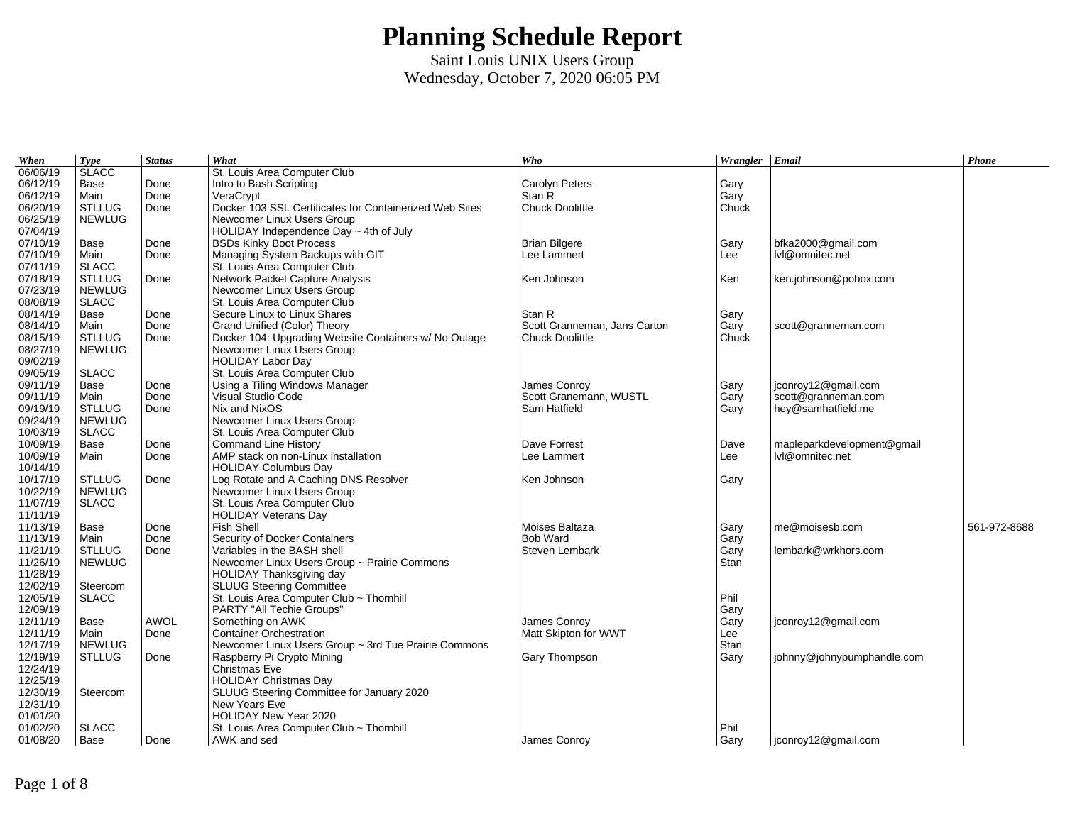| When     | <b>Type</b>   | <b>Status</b> | What                                                    | Who                          | Wrangler $\vert$ Email |                            | Phone        |
|----------|---------------|---------------|---------------------------------------------------------|------------------------------|------------------------|----------------------------|--------------|
| 06/06/19 | <b>SLACC</b>  |               | St. Louis Area Computer Club                            |                              |                        |                            |              |
| 06/12/19 | Base          | Done          | Intro to Bash Scripting                                 | Carolyn Peters               | Gary                   |                            |              |
| 06/12/19 | Main          | Done          | VeraCrypt                                               | Stan R                       | Gary                   |                            |              |
| 06/20/19 | <b>STLLUG</b> | Done          | Docker 103 SSL Certificates for Containerized Web Sites | Chuck Doolittle              | Chuck                  |                            |              |
| 06/25/19 | <b>NEWLUG</b> |               | Newcomer Linux Users Group                              |                              |                        |                            |              |
| 07/04/19 |               |               | HOLIDAY Independence Day $\sim$ 4th of July             |                              |                        |                            |              |
| 07/10/19 | Base          | Done          | <b>BSDs Kinky Boot Process</b>                          | <b>Brian Bilgere</b>         | Gary                   | bfka2000@gmail.com         |              |
| 07/10/19 | Main          | Done          | Managing System Backups with GIT                        | Lee Lammert                  | Lee                    | lvl@omnitec.net            |              |
| 07/11/19 | <b>SLACC</b>  |               | St. Louis Area Computer Club                            |                              |                        |                            |              |
| 07/18/19 | <b>STLLUG</b> | Done          | Network Packet Capture Analysis                         | Ken Johnson                  | Ken                    | ken.johnson@pobox.com      |              |
| 07/23/19 | <b>NEWLUG</b> |               | Newcomer Linux Users Group                              |                              |                        |                            |              |
| 08/08/19 | <b>SLACC</b>  |               | St. Louis Area Computer Club                            |                              |                        |                            |              |
| 08/14/19 | Base          | Done          | Secure Linux to Linux Shares                            | Stan R                       | Gary                   |                            |              |
| 08/14/19 | Main          | Done          | Grand Unified (Color) Theory                            | Scott Granneman, Jans Carton | Gary                   | scott@granneman.com        |              |
| 08/15/19 | <b>STLLUG</b> | Done          | Docker 104: Upgrading Website Containers w/ No Outage   | Chuck Doolittle              | Chuck                  |                            |              |
| 08/27/19 | <b>NEWLUG</b> |               | Newcomer Linux Users Group                              |                              |                        |                            |              |
| 09/02/19 |               |               | <b>HOLIDAY Labor Day</b>                                |                              |                        |                            |              |
| 09/05/19 | <b>SLACC</b>  |               | St. Louis Area Computer Club                            |                              |                        |                            |              |
| 09/11/19 | Base          | Done          | Using a Tiling Windows Manager                          | James Conroy                 | Gary                   | jconroy12@gmail.com        |              |
| 09/11/19 | Main          | Done          | Visual Studio Code                                      | Scott Granemann, WUSTL       | Gary                   | scott@granneman.com        |              |
| 09/19/19 | <b>STLLUG</b> | Done          | Nix and NixOS                                           | Sam Hatfield                 | Gary                   | hey@samhatfield.me         |              |
| 09/24/19 | <b>NEWLUG</b> |               | Newcomer Linux Users Group                              |                              |                        |                            |              |
| 10/03/19 | <b>SLACC</b>  |               | St. Louis Area Computer Club                            |                              |                        |                            |              |
| 10/09/19 | Base          | Done          | <b>Command Line History</b>                             | Dave Forrest                 | Dave                   | mapleparkdevelopment@gmail |              |
| 10/09/19 | Main          | Done          | AMP stack on non-Linux installation                     | Lee Lammert                  | Lee                    | lvl@omnitec.net            |              |
| 10/14/19 |               |               | <b>HOLIDAY Columbus Day</b>                             |                              |                        |                            |              |
| 10/17/19 | <b>STLLUG</b> | Done          | Log Rotate and A Caching DNS Resolver                   | Ken Johnson                  | Gary                   |                            |              |
| 10/22/19 | <b>NEWLUG</b> |               | Newcomer Linux Users Group                              |                              |                        |                            |              |
| 11/07/19 | <b>SLACC</b>  |               | St. Louis Area Computer Club                            |                              |                        |                            |              |
| 11/11/19 |               |               | <b>HOLIDAY Veterans Day</b>                             |                              |                        |                            |              |
| 11/13/19 | Base          | Done          | Fish Shell                                              | Moises Baltaza               | Gary                   | me@moisesb.com             | 561-972-8688 |
| 11/13/19 | Main          | Done          | Security of Docker Containers                           | <b>Bob Ward</b>              | Gary                   |                            |              |
| 11/21/19 | <b>STLLUG</b> | Done          | Variables in the BASH shell                             | Steven Lembark               | Gary                   | lembark@wrkhors.com        |              |
| 11/26/19 | <b>NEWLUG</b> |               | Newcomer Linux Users Group ~ Prairie Commons            |                              | <b>Stan</b>            |                            |              |
| 11/28/19 |               |               | HOLIDAY Thanksgiving day                                |                              |                        |                            |              |
| 12/02/19 | Steercom      |               | <b>SLUUG Steering Committee</b>                         |                              |                        |                            |              |
| 12/05/19 | <b>SLACC</b>  |               | St. Louis Area Computer Club ~ Thornhill                |                              | Phil                   |                            |              |
| 12/09/19 |               |               | PARTY "All Techie Groups"                               |                              | Gary                   |                            |              |
| 12/11/19 | Base          | <b>AWOL</b>   | Something on AWK                                        | James Conroy                 | Gary                   | jconroy12@gmail.com        |              |
| 12/11/19 | Main          | Done          | <b>Container Orchestration</b>                          | Matt Skipton for WWT         | Lee                    |                            |              |
| 12/17/19 | <b>NEWLUG</b> |               | Newcomer Linux Users Group ~ 3rd Tue Prairie Commons    |                              | Stan                   |                            |              |
| 12/19/19 | <b>STLLUG</b> | Done          | Raspberry Pi Crypto Mining                              | Gary Thompson                | Gary                   | johnny@johnypumphandle.com |              |
| 12/24/19 |               |               | Christmas Eve                                           |                              |                        |                            |              |
| 12/25/19 |               |               | <b>HOLIDAY Christmas Day</b>                            |                              |                        |                            |              |
| 12/30/19 | Steercom      |               | SLUUG Steering Committee for January 2020               |                              |                        |                            |              |
| 12/31/19 |               |               | New Years Eve                                           |                              |                        |                            |              |
| 01/01/20 |               |               | HOLIDAY New Year 2020                                   |                              |                        |                            |              |
| 01/02/20 | <b>SLACC</b>  |               | St. Louis Area Computer Club ~ Thornhill                |                              | Phil                   |                            |              |
| 01/08/20 | Base          | Done          | AWK and sed                                             | James Conroy                 | Gary                   | jconroy12@gmail.com        |              |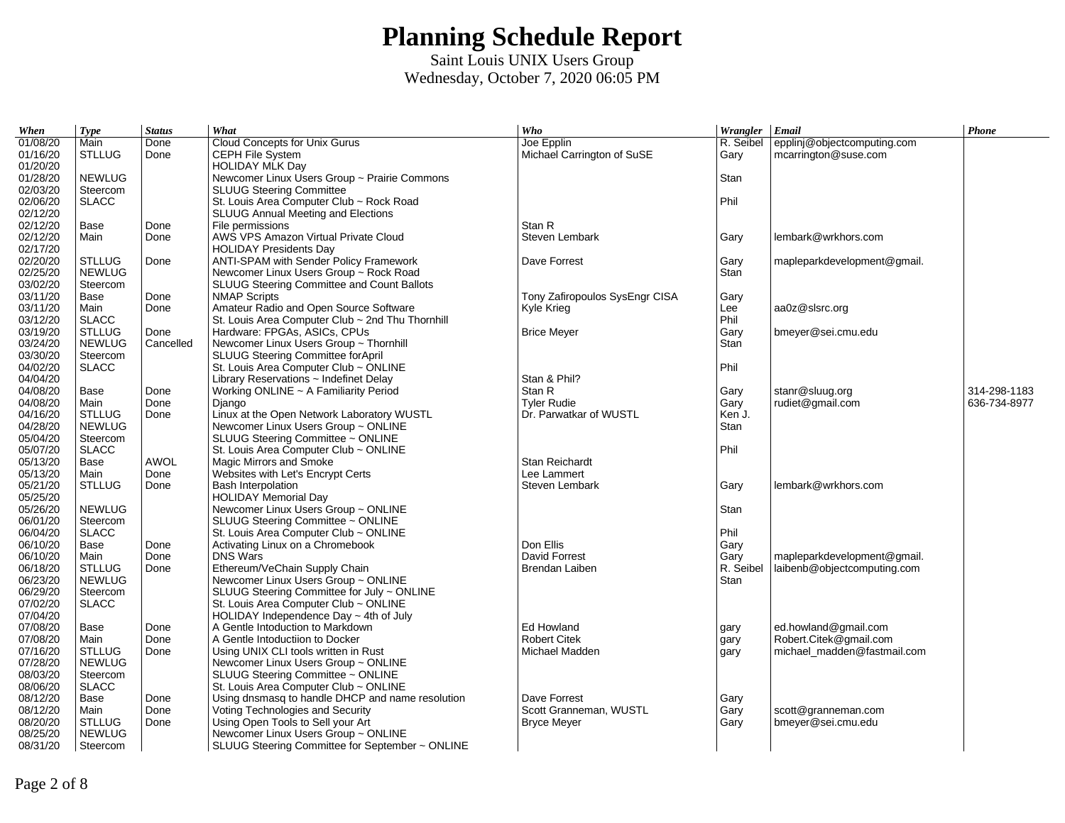| When                 | <b>Type</b>   | <b>Status</b> | What                                                                                 | Who                            | Wrangler Email |                             | Phone        |
|----------------------|---------------|---------------|--------------------------------------------------------------------------------------|--------------------------------|----------------|-----------------------------|--------------|
| 01/08/20             | Main          | Done          | Cloud Concepts for Unix Gurus                                                        | Joe Epplin                     | R. Seibel      | epplinj@objectcomputing.com |              |
| 01/16/20             | <b>STLLUG</b> | Done          | CEPH File System                                                                     | Michael Carrington of SuSE     | Gary           | mcarrington@suse.com        |              |
| 01/20/20             |               |               | <b>HOLIDAY MLK Day</b>                                                               |                                |                |                             |              |
| 01/28/20             | <b>NEWLUG</b> |               | Newcomer Linux Users Group ~ Prairie Commons                                         |                                | Stan           |                             |              |
| 02/03/20             | Steercom      |               | <b>SLUUG Steering Committee</b>                                                      |                                |                |                             |              |
| 02/06/20             | <b>SLACC</b>  |               | St. Louis Area Computer Club ~ Rock Road                                             |                                | Phil           |                             |              |
| 02/12/20             |               |               | <b>SLUUG Annual Meeting and Elections</b>                                            |                                |                |                             |              |
| 02/12/20             | Base          | Done          | File permissions                                                                     | Stan R                         |                |                             |              |
| 02/12/20             | Main          | Done          | AWS VPS Amazon Virtual Private Cloud                                                 | Steven Lembark                 | Gary           | lembark@wrkhors.com         |              |
| 02/17/20             |               |               | <b>HOLIDAY Presidents Day</b>                                                        |                                |                |                             |              |
| 02/20/20             | <b>STLLUG</b> | Done          | ANTI-SPAM with Sender Policy Framework                                               | Dave Forrest                   | Gary           | mapleparkdevelopment@gmail. |              |
| 02/25/20             | <b>NEWLUG</b> |               | Newcomer Linux Users Group ~ Rock Road                                               |                                | Stan           |                             |              |
| 03/02/20             | Steercom      |               | SLUUG Steering Committee and Count Ballots                                           |                                |                |                             |              |
| 03/11/20             | Base          | Done          | <b>NMAP Scripts</b>                                                                  | Tony Zafiropoulos SysEngr CISA | Gary           |                             |              |
| 03/11/20             | Main          | Done          | Amateur Radio and Open Source Software                                               | Kyle Krieg                     | Lee            | aa0z@slsrc.org              |              |
| 03/12/20             | <b>SLACC</b>  |               | St. Louis Area Computer Club ~ 2nd Thu Thornhill                                     |                                | Phil           |                             |              |
| 03/19/20             | <b>STLLUG</b> | Done          | Hardware: FPGAs, ASICs, CPUs                                                         | <b>Brice Meyer</b>             | Gary           | bmeyer@sei.cmu.edu          |              |
| 03/24/20             | <b>NEWLUG</b> | Cancelled     | Newcomer Linux Users Group ~ Thornhill                                               |                                | Stan           |                             |              |
| 03/30/20             | Steercom      |               | SLUUG Steering Committee forApril                                                    |                                |                |                             |              |
| 04/02/20             | <b>SLACC</b>  |               | St. Louis Area Computer Club ~ ONLINE                                                |                                | Phil           |                             |              |
| 04/04/20             |               |               | Library Reservations ~ Indefinet Delay                                               | Stan & Phil?                   |                |                             |              |
| 04/08/20             | Base          | Done          | Working ONLINE ~ A Familiarity Period                                                | Stan R                         | Gary           | stanr@sluug.org             | 314-298-1183 |
| 04/08/20             | Main          | Done          | Django                                                                               | <b>Tyler Rudie</b>             | Gary           | rudiet@gmail.com            | 636-734-8977 |
| 04/16/20             | <b>STLLUG</b> | Done          | Linux at the Open Network Laboratory WUSTL                                           | Dr. Parwatkar of WUSTL         | Ken J.         |                             |              |
| 04/28/20             | <b>NEWLUG</b> |               | Newcomer Linux Users Group ~ ONLINE                                                  |                                | Stan           |                             |              |
| 05/04/20             | Steercom      |               | SLUUG Steering Committee ~ ONLINE                                                    |                                |                |                             |              |
| 05/07/20             | <b>SLACC</b>  |               | St. Louis Area Computer Club ~ ONLINE                                                |                                | Phil           |                             |              |
| 05/13/20             | Base          | <b>AWOL</b>   | Magic Mirrors and Smoke                                                              | Stan Reichardt                 |                |                             |              |
| 05/13/20             | Main          | Done          | Websites with Let's Encrypt Certs                                                    | Lee Lammert                    |                |                             |              |
| 05/21/20             | <b>STLLUG</b> | Done          | <b>Bash Interpolation</b>                                                            | Steven Lembark                 | Gary           | lembark@wrkhors.com         |              |
| 05/25/20             |               |               | <b>HOLIDAY Memorial Day</b>                                                          |                                |                |                             |              |
| 05/26/20             | <b>NEWLUG</b> |               | Newcomer Linux Users Group ~ ONLINE                                                  |                                | Stan           |                             |              |
| 06/01/20             | Steercom      |               | SLUUG Steering Committee ~ ONLINE                                                    |                                |                |                             |              |
| 06/04/20             | <b>SLACC</b>  |               | St. Louis Area Computer Club ~ ONLINE                                                |                                | Phil           |                             |              |
| 06/10/20             | Base          | Done          | Activating Linux on a Chromebook                                                     | Don Ellis                      | Gary           |                             |              |
| 06/10/20             | Main          | Done          | <b>DNS Wars</b>                                                                      | David Forrest                  | Gary           | mapleparkdevelopment@gmail. |              |
| 06/18/20             | <b>STLLUG</b> | Done          | Ethereum/VeChain Supply Chain                                                        | Brendan Laiben                 | R. Seibel      | laibenb@objectcomputing.com |              |
| 06/23/20             | <b>NEWLUG</b> |               | Newcomer Linux Users Group ~ ONLINE                                                  |                                | Stan           |                             |              |
| 06/29/20             | Steercom      |               | SLUUG Steering Committee for July ~ ONLINE                                           |                                |                |                             |              |
| 07/02/20             | <b>SLACC</b>  |               | St. Louis Area Computer Club ~ ONLINE                                                |                                |                |                             |              |
| 07/04/20             |               |               | HOLIDAY Independence Day $\sim$ 4th of July                                          |                                |                |                             |              |
| 07/08/20             | Base          | Done          | A Gentle Intoduction to Markdown                                                     | Ed Howland                     |                | ed.howland@gmail.com        |              |
| 07/08/20             | Main          | Done          | A Gentle Intoductiion to Docker                                                      | <b>Robert Citek</b>            | gary           | Robert.Citek@gmail.com      |              |
| 07/16/20             | <b>STLLUG</b> | Done          | Using UNIX CLI tools written in Rust                                                 | Michael Madden                 | gary           | michael madden@fastmail.com |              |
| 07/28/20             | <b>NEWLUG</b> |               | Newcomer Linux Users Group ~ ONLINE                                                  |                                | gary           |                             |              |
| 08/03/20             | Steercom      |               | SLUUG Steering Committee ~ ONLINE                                                    |                                |                |                             |              |
| 08/06/20             | <b>SLACC</b>  |               | St. Louis Area Computer Club ~ ONLINE                                                |                                |                |                             |              |
|                      |               | Done          |                                                                                      | Dave Forrest                   |                |                             |              |
| 08/12/20<br>08/12/20 | Base<br>Main  | Done          | Using dnsmasg to handle DHCP and name resolution<br>Voting Technologies and Security | Scott Granneman, WUSTL         | Gary<br>Gary   |                             |              |
| 08/20/20             | <b>STLLUG</b> | Done          | Using Open Tools to Sell your Art                                                    |                                |                | scott@granneman.com         |              |
| 08/25/20             | <b>NEWLUG</b> |               | Newcomer Linux Users Group ~ ONLINE                                                  | <b>Bryce Meyer</b>             | Gary           | bmeyer@sei.cmu.edu          |              |
|                      |               |               |                                                                                      |                                |                |                             |              |
| 08/31/20             | Steercom      |               | SLUUG Steering Committee for September ~ ONLINE                                      |                                |                |                             |              |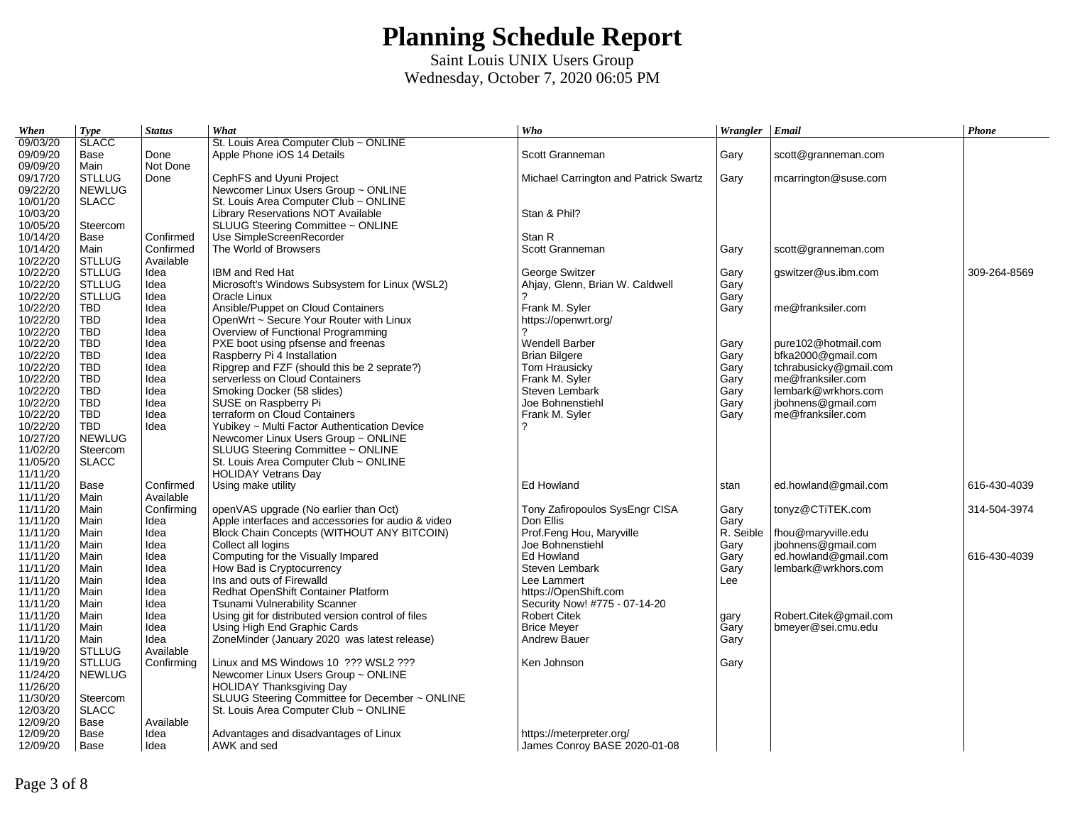| When     | <b>Type</b>   | <b>Status</b> | What                                               | Who                                   | Wrangler Email |                        | Phone        |
|----------|---------------|---------------|----------------------------------------------------|---------------------------------------|----------------|------------------------|--------------|
| 09/03/20 | <b>SLACC</b>  |               | St. Louis Area Computer Club ~ ONLINE              |                                       |                |                        |              |
| 09/09/20 | Base          | Done          | Apple Phone iOS 14 Details                         | Scott Granneman                       | Gary           | scott@granneman.com    |              |
| 09/09/20 | Main          | Not Done      |                                                    |                                       |                |                        |              |
| 09/17/20 | <b>STLLUG</b> | Done          | CephFS and Uyuni Project                           | Michael Carrington and Patrick Swartz | Gary           | mcarrington@suse.com   |              |
| 09/22/20 | <b>NEWLUG</b> |               | Newcomer Linux Users Group ~ ONLINE                |                                       |                |                        |              |
| 10/01/20 | <b>SLACC</b>  |               | St. Louis Area Computer Club ~ ONLINE              |                                       |                |                        |              |
| 10/03/20 |               |               | Library Reservations NOT Available                 | Stan & Phil?                          |                |                        |              |
| 10/05/20 | Steercom      |               | SLUUG Steering Committee ~ ONLINE                  |                                       |                |                        |              |
| 10/14/20 | Base          | Confirmed     | Use SimpleScreenRecorder                           | Stan R                                |                |                        |              |
| 10/14/20 | Main          | Confirmed     | The World of Browsers                              | Scott Granneman                       | Gary           | scott@granneman.com    |              |
| 10/22/20 | <b>STLLUG</b> | Available     |                                                    |                                       |                |                        |              |
| 10/22/20 | <b>STLLUG</b> | Idea          | IBM and Red Hat                                    | George Switzer                        | Gary           | gswitzer@us.ibm.com    | 309-264-8569 |
| 10/22/20 | <b>STLLUG</b> | Idea          | Microsoft's Windows Subsystem for Linux (WSL2)     | Ahjay, Glenn, Brian W. Caldwell       | Garv           |                        |              |
| 10/22/20 | <b>STLLUG</b> | Idea          | Oracle Linux                                       |                                       | Gary           |                        |              |
| 10/22/20 | <b>TBD</b>    | Idea          | Ansible/Puppet on Cloud Containers                 | Frank M. Syler                        | Gary           | me@franksiler.com      |              |
| 10/22/20 | <b>TBD</b>    | Idea          | OpenWrt ~ Secure Your Router with Linux            | https://openwrt.org/                  |                |                        |              |
| 10/22/20 | <b>TBD</b>    | Idea          | Overview of Functional Programming                 |                                       |                |                        |              |
| 10/22/20 | <b>TBD</b>    | Idea          | PXE boot using pfsense and freenas                 | <b>Wendell Barber</b>                 | Gary           | pure102@hotmail.com    |              |
| 10/22/20 | <b>TBD</b>    | Idea          | Raspberry Pi 4 Installation                        | <b>Brian Bilgere</b>                  | Gary           | bfka2000@gmail.com     |              |
| 10/22/20 | <b>TBD</b>    | Idea          | Ripgrep and FZF (should this be 2 seprate?)        | Tom Hrausicky                         | Gary           | tchrabusicky@gmail.com |              |
| 10/22/20 | <b>TBD</b>    | Idea          | serverless on Cloud Containers                     | Frank M. Syler                        | Gary           | me@franksiler.com      |              |
| 10/22/20 | <b>TBD</b>    | Idea          | Smoking Docker (58 slides)                         | Steven Lembark                        | Gary           | lembark@wrkhors.com    |              |
| 10/22/20 | <b>TBD</b>    | Idea          | SUSE on Raspberry Pi                               | Joe Bohnenstiehl                      | Gary           | jbohnens@gmail.com     |              |
| 10/22/20 | <b>TBD</b>    | Idea          | terraform on Cloud Containers                      | Frank M. Syler                        | Gary           | me@franksiler.com      |              |
| 10/22/20 | <b>TBD</b>    | Idea          | Yubikey ~ Multi Factor Authentication Device       | 2                                     |                |                        |              |
| 10/27/20 | <b>NEWLUG</b> |               | Newcomer Linux Users Group ~ ONLINE                |                                       |                |                        |              |
| 11/02/20 | Steercom      |               | SLUUG Steering Committee ~ ONLINE                  |                                       |                |                        |              |
| 11/05/20 | <b>SLACC</b>  |               | St. Louis Area Computer Club ~ ONLINE              |                                       |                |                        |              |
| 11/11/20 |               |               | <b>HOLIDAY Vetrans Day</b>                         |                                       |                |                        |              |
| 11/11/20 | Base          | Confirmed     | Using make utility                                 | Ed Howland                            | stan           | ed.howland@gmail.com   | 616-430-4039 |
| 11/11/20 | Main          | Available     |                                                    |                                       |                |                        |              |
| 11/11/20 | Main          | Confirming    | openVAS upgrade (No earlier than Oct)              | Tony Zafiropoulos SysEngr CISA        | Gary           | tonyz@CTiTEK.com       | 314-504-3974 |
| 11/11/20 | Main          | Idea          | Apple interfaces and accessories for audio & video | Don Ellis                             | Garv           |                        |              |
| 11/11/20 | Main          | Idea          | <b>Block Chain Concepts (WITHOUT ANY BITCOIN)</b>  | Prof.Feng Hou, Maryville              | R. Seible      | fhou@maryville.edu     |              |
| 11/11/20 | Main          | Idea          | Collect all logins                                 | Joe Bohnenstiehl                      | Gary           | jbohnens@gmail.com     |              |
| 11/11/20 | Main          | Idea          | Computing for the Visually Impared                 | Ed Howland                            | Gary           | ed.howland@gmail.com   | 616-430-4039 |
| 11/11/20 | Main          | Idea          | How Bad is Cryptocurrency                          | Steven Lembark                        | Gary           | lembark@wrkhors.com    |              |
| 11/11/20 | Main          | Idea          | Ins and outs of Firewalld                          | Lee Lammert                           | Lee            |                        |              |
| 11/11/20 | Main          | Idea          | Redhat OpenShift Container Platform                | https://OpenShift.com                 |                |                        |              |
| 11/11/20 | Main          | Idea          | Tsunami Vulnerability Scanner                      | Security Now! #775 - 07-14-20         |                |                        |              |
| 11/11/20 | Main          | Idea          | Using git for distributed version control of files | <b>Robert Citek</b>                   | gary           | Robert.Citek@gmail.com |              |
| 11/11/20 | Main          | Idea          | Using High End Graphic Cards                       | <b>Brice Meyer</b>                    | Gary           | bmeyer@sei.cmu.edu     |              |
| 11/11/20 | Main          | Idea          | ZoneMinder (January 2020 was latest release)       | <b>Andrew Bauer</b>                   | Gary           |                        |              |
| 11/19/20 | <b>STLLUG</b> | Available     |                                                    |                                       |                |                        |              |
| 11/19/20 | <b>STLLUG</b> | Confirming    | Linux and MS Windows 10 ??? WSL2 ???               | Ken Johnson                           | Gary           |                        |              |
| 11/24/20 | <b>NEWLUG</b> |               | Newcomer Linux Users Group ~ ONLINE                |                                       |                |                        |              |
| 11/26/20 |               |               | <b>HOLIDAY Thanksgiving Day</b>                    |                                       |                |                        |              |
| 11/30/20 | Steercom      |               | SLUUG Steering Committee for December ~ ONLINE     |                                       |                |                        |              |
| 12/03/20 | <b>SLACC</b>  |               | St. Louis Area Computer Club ~ ONLINE              |                                       |                |                        |              |
| 12/09/20 | Base          | Available     |                                                    |                                       |                |                        |              |
| 12/09/20 | Base          | Idea          | Advantages and disadvantages of Linux              | https://meterpreter.org/              |                |                        |              |
| 12/09/20 | Base          | Idea          | AWK and sed                                        |                                       |                |                        |              |
|          |               |               |                                                    | James Conroy BASE 2020-01-08          |                |                        |              |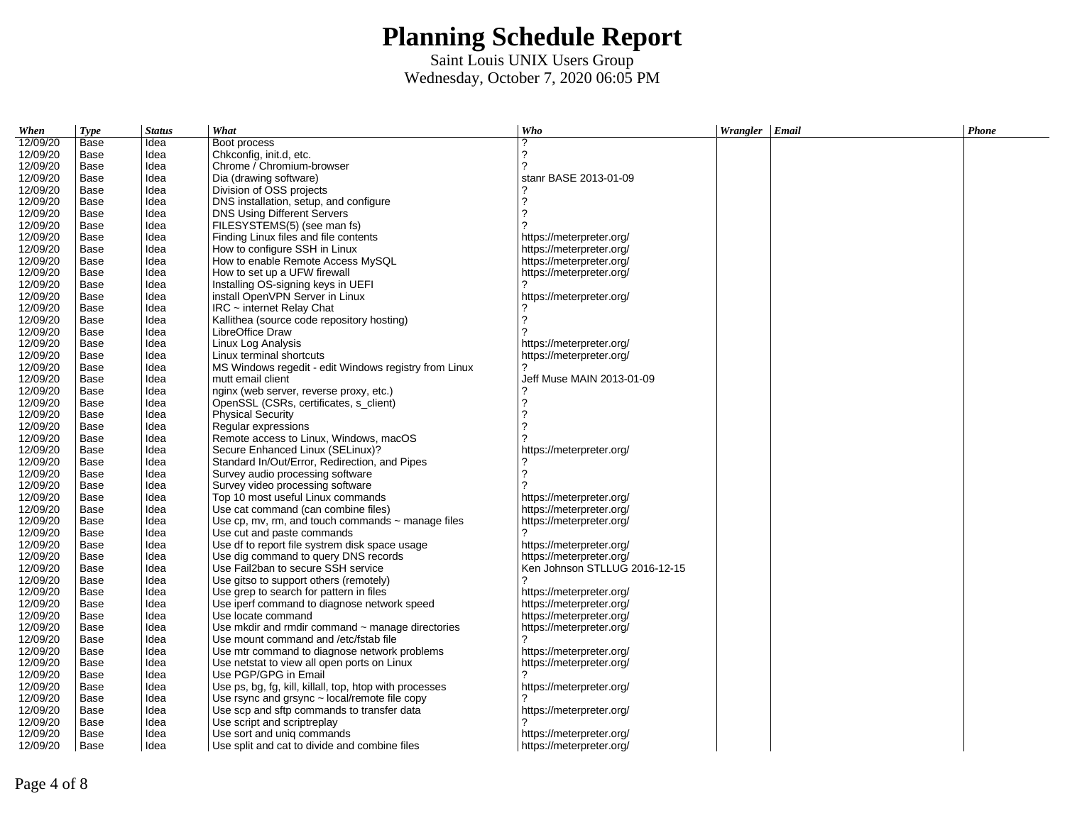| When     | <b>Type</b> | <b>Status</b> | What                                                    | Who                           | Wrangler   Email | <b>Phone</b> |
|----------|-------------|---------------|---------------------------------------------------------|-------------------------------|------------------|--------------|
| 12/09/20 | Base        | Idea          | Boot process                                            | っ                             |                  |              |
| 12/09/20 | Base        | Idea          | Chkconfig, init.d, etc.                                 | 2                             |                  |              |
| 12/09/20 | Base        | Idea          | Chrome / Chromium-browser                               | っ                             |                  |              |
| 12/09/20 | Base        | Idea          | Dia (drawing software)                                  | stanr BASE 2013-01-09         |                  |              |
| 12/09/20 | Base        | Idea          | Division of OSS projects                                |                               |                  |              |
| 12/09/20 | Base        | Idea          | DNS installation, setup, and configure                  |                               |                  |              |
| 12/09/20 | Base        | Idea          | <b>DNS Using Different Servers</b>                      | っ                             |                  |              |
| 12/09/20 | Base        | Idea          | FILESYSTEMS(5) (see man fs)                             |                               |                  |              |
| 12/09/20 | Base        | Idea          | Finding Linux files and file contents                   | https://meterpreter.org/      |                  |              |
| 12/09/20 | Base        | Idea          | How to configure SSH in Linux                           | https://meterpreter.org/      |                  |              |
| 12/09/20 | Base        | Idea          | How to enable Remote Access MySOL                       | https://meterpreter.org/      |                  |              |
| 12/09/20 | Base        | Idea          | How to set up a UFW firewall                            | https://meterpreter.org/      |                  |              |
| 12/09/20 | Base        | Idea          | Installing OS-signing keys in UEFI                      |                               |                  |              |
| 12/09/20 | Base        | Idea          | install OpenVPN Server in Linux                         | https://meterpreter.org/      |                  |              |
| 12/09/20 | Base        | Idea          | $IRC$ ~ internet Relay Chat                             |                               |                  |              |
| 12/09/20 | Base        | Idea          | Kallithea (source code repository hosting)              |                               |                  |              |
| 12/09/20 | Base        | Idea          | LibreOffice Draw                                        |                               |                  |              |
| 12/09/20 | Base        | Idea          | Linux Log Analysis                                      | https://meterpreter.org/      |                  |              |
| 12/09/20 | Base        | Idea          | Linux terminal shortcuts                                | https://meterpreter.org/      |                  |              |
| 12/09/20 | Base        | Idea          | MS Windows regedit - edit Windows registry from Linux   |                               |                  |              |
| 12/09/20 | Base        | Idea          | mutt email client                                       | Jeff Muse MAIN 2013-01-09     |                  |              |
| 12/09/20 | Base        | Idea          | nginx (web server, reverse proxy, etc.)                 |                               |                  |              |
| 12/09/20 | Base        | Idea          | OpenSSL (CSRs, certificates, s_client)                  |                               |                  |              |
| 12/09/20 | Base        | Idea          | Physical Security                                       |                               |                  |              |
| 12/09/20 | Base        | Idea          | Regular expressions                                     |                               |                  |              |
| 12/09/20 | Base        | Idea          | Remote access to Linux, Windows, macOS                  |                               |                  |              |
| 12/09/20 | Base        | Idea          | Secure Enhanced Linux (SELinux)?                        | https://meterpreter.org/      |                  |              |
| 12/09/20 | Base        | Idea          | Standard In/Out/Error, Redirection, and Pipes           |                               |                  |              |
| 12/09/20 | Base        | Idea          | Survey audio processing software                        |                               |                  |              |
| 12/09/20 | Base        | Idea          | Survey video processing software                        |                               |                  |              |
| 12/09/20 | Base        | Idea          | Top 10 most useful Linux commands                       | https://meterpreter.org/      |                  |              |
| 12/09/20 | Base        | Idea          | Use cat command (can combine files)                     | https://meterpreter.org/      |                  |              |
| 12/09/20 | Base        | Idea          | Use cp, mv, rm, and touch commands $\sim$ manage files  | https://meterpreter.org/      |                  |              |
| 12/09/20 | Base        | Idea          | Use cut and paste commands                              |                               |                  |              |
| 12/09/20 | Base        | Idea          | Use df to report file systrem disk space usage          | https://meterpreter.org/      |                  |              |
| 12/09/20 | Base        | Idea          | Use dig command to query DNS records                    | https://meterpreter.org/      |                  |              |
| 12/09/20 | Base        | Idea          | Use Fail2ban to secure SSH service                      | Ken Johnson STLLUG 2016-12-15 |                  |              |
| 12/09/20 | Base        | Idea          | Use gitso to support others (remotely)                  |                               |                  |              |
| 12/09/20 | Base        | Idea          | Use grep to search for pattern in files                 | https://meterpreter.org/      |                  |              |
| 12/09/20 | Base        | Idea          | Use iperf command to diagnose network speed             | https://meterpreter.org/      |                  |              |
| 12/09/20 | Base        | Idea          | Use locate command                                      | https://meterpreter.org/      |                  |              |
| 12/09/20 | Base        | Idea          | Use mkdir and rmdir command ~ manage directories        | https://meterpreter.org/      |                  |              |
| 12/09/20 | Base        | Idea          | Use mount command and /etc/fstab file                   |                               |                  |              |
| 12/09/20 | Base        | Idea          | Use mtr command to diagnose network problems            | https://meterpreter.org/      |                  |              |
| 12/09/20 | Base        | Idea          | Use netstat to view all open ports on Linux             | https://meterpreter.org/      |                  |              |
| 12/09/20 | Base        | Idea          | Use PGP/GPG in Email                                    |                               |                  |              |
| 12/09/20 | Base        | Idea          | Use ps, bg, fg, kill, killall, top, htop with processes | https://meterpreter.org/      |                  |              |
| 12/09/20 | Base        | Idea          | Use rsync and grsync ~ local/remote file copy           |                               |                  |              |
| 12/09/20 | Base        | Idea          | Use scp and sftp commands to transfer data              | https://meterpreter.org/      |                  |              |
| 12/09/20 | Base        | Idea          | Use script and scriptreplay                             |                               |                  |              |
| 12/09/20 | Base        | Idea          | Use sort and unig commands                              | https://meterpreter.org/      |                  |              |
| 12/09/20 | Base        | Idea          | Use split and cat to divide and combine files           | https://meterpreter.org/      |                  |              |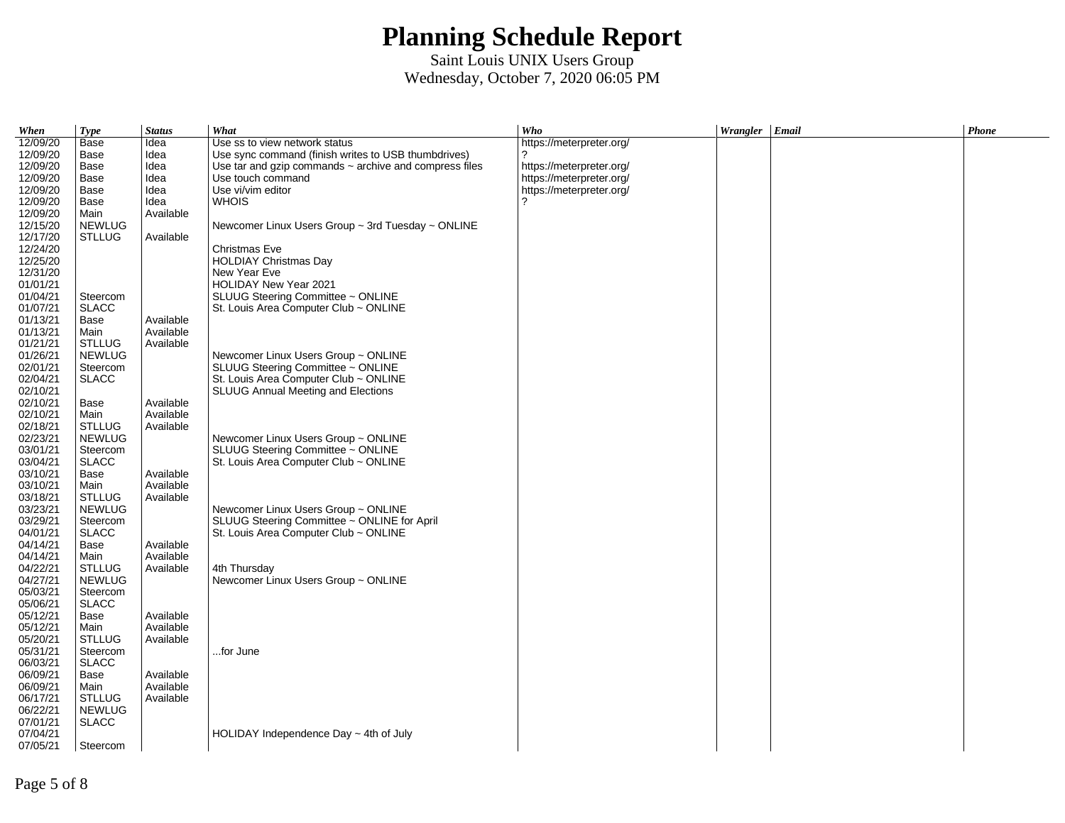| When     | <b>Type</b>   | <b>Status</b> | What                                                        | Who                      | Wrangler Email | Phone |
|----------|---------------|---------------|-------------------------------------------------------------|--------------------------|----------------|-------|
| 12/09/20 | Base          | Idea          | Use ss to view network status                               | https://meterpreter.org/ |                |       |
| 12/09/20 | Base          | Idea          | Use sync command (finish writes to USB thumbdrives)         | 2                        |                |       |
| 12/09/20 | Base          | Idea          | Use tar and gzip commands $\sim$ archive and compress files | https://meterpreter.org/ |                |       |
| 12/09/20 | Base          | Idea          | Use touch command                                           | https://meterpreter.org/ |                |       |
| 12/09/20 | Base          | Idea          | Use vi/vim editor                                           | https://meterpreter.org/ |                |       |
| 12/09/20 | Base          | Idea          | <b>WHOIS</b>                                                | 2                        |                |       |
| 12/09/20 | Main          | Available     |                                                             |                          |                |       |
| 12/15/20 | <b>NEWLUG</b> |               | Newcomer Linux Users Group $\sim$ 3rd Tuesday $\sim$ ONLINE |                          |                |       |
| 12/17/20 | STLLUG        | Available     |                                                             |                          |                |       |
| 12/24/20 |               |               | Christmas Eve                                               |                          |                |       |
| 12/25/20 |               |               | <b>HOLDIAY Christmas Day</b>                                |                          |                |       |
| 12/31/20 |               |               | New Year Eve                                                |                          |                |       |
| 01/01/21 |               |               | HOLIDAY New Year 2021                                       |                          |                |       |
| 01/04/21 | Steercom      |               | SLUUG Steering Committee ~ ONLINE                           |                          |                |       |
| 01/07/21 | <b>SLACC</b>  |               | St. Louis Area Computer Club ~ ONLINE                       |                          |                |       |
| 01/13/21 | Base          | Available     |                                                             |                          |                |       |
| 01/13/21 | Main          | Available     |                                                             |                          |                |       |
| 01/21/21 | <b>STLLUG</b> | Available     |                                                             |                          |                |       |
|          |               |               |                                                             |                          |                |       |
| 01/26/21 | <b>NEWLUG</b> |               | Newcomer Linux Users Group ~ ONLINE                         |                          |                |       |
| 02/01/21 | Steercom      |               | SLUUG Steering Committee ~ ONLINE                           |                          |                |       |
| 02/04/21 | <b>SLACC</b>  |               | St. Louis Area Computer Club ~ ONLINE                       |                          |                |       |
| 02/10/21 |               |               | SLUUG Annual Meeting and Elections                          |                          |                |       |
| 02/10/21 | Base          | Available     |                                                             |                          |                |       |
| 02/10/21 | Main          | Available     |                                                             |                          |                |       |
| 02/18/21 | <b>STLLUG</b> | Available     |                                                             |                          |                |       |
| 02/23/21 | NEWLUG        |               | Newcomer Linux Users Group ~ ONLINE                         |                          |                |       |
| 03/01/21 | Steercom      |               | SLUUG Steering Committee ~ ONLINE                           |                          |                |       |
| 03/04/21 | <b>SLACC</b>  |               | St. Louis Area Computer Club ~ ONLINE                       |                          |                |       |
| 03/10/21 | Base          | Available     |                                                             |                          |                |       |
| 03/10/21 | Main          | Available     |                                                             |                          |                |       |
| 03/18/21 | <b>STLLUG</b> | Available     |                                                             |                          |                |       |
| 03/23/21 | <b>NEWLUG</b> |               | Newcomer Linux Users Group ~ ONLINE                         |                          |                |       |
| 03/29/21 | Steercom      |               | SLUUG Steering Committee ~ ONLINE for April                 |                          |                |       |
| 04/01/21 | <b>SLACC</b>  |               | St. Louis Area Computer Club ~ ONLINE                       |                          |                |       |
| 04/14/21 | Base          | Available     |                                                             |                          |                |       |
| 04/14/21 | Main          | Available     |                                                             |                          |                |       |
| 04/22/21 | <b>STLLUG</b> | Available     | 4th Thursday                                                |                          |                |       |
| 04/27/21 | <b>NEWLUG</b> |               | Newcomer Linux Users Group ~ ONLINE                         |                          |                |       |
| 05/03/21 | Steercom      |               |                                                             |                          |                |       |
| 05/06/21 | <b>SLACC</b>  |               |                                                             |                          |                |       |
| 05/12/21 | Base          | Available     |                                                             |                          |                |       |
| 05/12/21 | Main          | Available     |                                                             |                          |                |       |
| 05/20/21 | <b>STLLUG</b> | Available     |                                                             |                          |                |       |
| 05/31/21 | Steercom      |               | for June                                                    |                          |                |       |
| 06/03/21 | <b>SLACC</b>  |               |                                                             |                          |                |       |
| 06/09/21 | Base          | Available     |                                                             |                          |                |       |
| 06/09/21 | Main          | Available     |                                                             |                          |                |       |
| 06/17/21 | <b>STLLUG</b> | Available     |                                                             |                          |                |       |
| 06/22/21 | NEWLUG        |               |                                                             |                          |                |       |
| 07/01/21 | <b>SLACC</b>  |               |                                                             |                          |                |       |
| 07/04/21 |               |               | HOLIDAY Independence Day $\sim$ 4th of July                 |                          |                |       |
| 07/05/21 | Steercom      |               |                                                             |                          |                |       |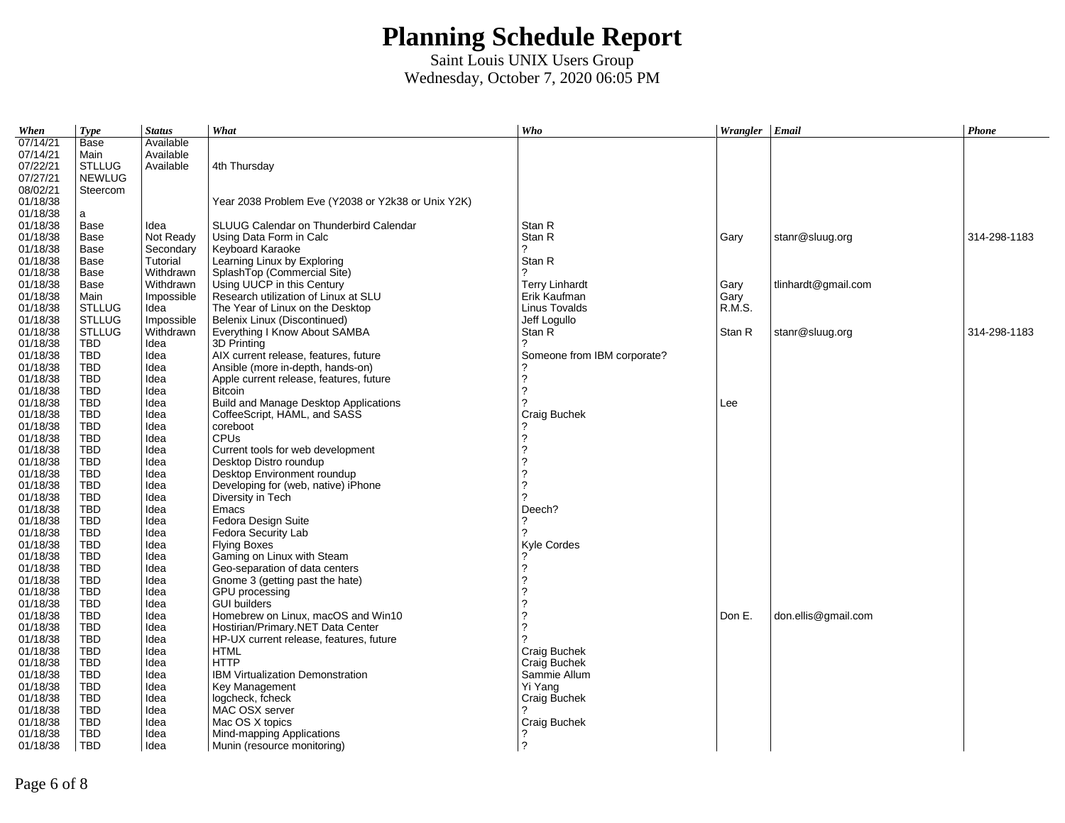| When                 | <b>Type</b>              | <b>Status</b> | What                                               | Who                                        | Wrangler Email |                     | <b>Phone</b> |
|----------------------|--------------------------|---------------|----------------------------------------------------|--------------------------------------------|----------------|---------------------|--------------|
| 07/14/21             | Base                     | Available     |                                                    |                                            |                |                     |              |
| 07/14/21             | Main                     | Available     |                                                    |                                            |                |                     |              |
| 07/22/21             | <b>STLLUG</b>            | Available     | 4th Thursday                                       |                                            |                |                     |              |
| 07/27/21             | <b>NEWLUG</b>            |               |                                                    |                                            |                |                     |              |
| 08/02/21             | Steercom                 |               |                                                    |                                            |                |                     |              |
| 01/18/38             |                          |               | Year 2038 Problem Eve (Y2038 or Y2k38 or Unix Y2K) |                                            |                |                     |              |
| 01/18/38             | a                        |               |                                                    |                                            |                |                     |              |
| 01/18/38             | Base                     | Idea          | SLUUG Calendar on Thunderbird Calendar             | Stan R                                     |                |                     |              |
| 01/18/38             | Base                     | Not Ready     | Using Data Form in Calc                            | Stan R                                     | Gary           | stanr@sluug.org     | 314-298-1183 |
| 01/18/38             | Base                     | Secondary     | Keyboard Karaoke                                   | 2                                          |                |                     |              |
| 01/18/38             | Base                     | Tutorial      | Learning Linux by Exploring                        | Stan R                                     |                |                     |              |
| 01/18/38             | Base                     | Withdrawn     | SplashTop (Commercial Site)                        | 2                                          |                |                     |              |
| 01/18/38             | Base                     | Withdrawn     | Using UUCP in this Century                         | <b>Terry Linhardt</b>                      | Gary           | tlinhardt@gmail.com |              |
| 01/18/38             | Main                     | Impossible    | Research utilization of Linux at SLU               | Erik Kaufman                               | Gary           |                     |              |
| 01/18/38             | <b>STLLUG</b>            | Idea          | The Year of Linux on the Desktop                   | Linus Tovalds                              | R.M.S.         |                     |              |
| 01/18/38             | <b>STLLUG</b>            | Impossible    | Belenix Linux (Discontinued)                       | Jeff Logullo                               |                |                     |              |
| 01/18/38             | <b>STLLUG</b>            | Withdrawn     | Everything I Know About SAMBA                      | Stan R                                     | Stan R         | stanr@sluug.org     | 314-298-1183 |
| 01/18/38             | <b>TBD</b>               | Idea          | 3D Printing                                        | 2                                          |                |                     |              |
| 01/18/38             | TBD                      | Idea          | AIX current release, features, future              | Someone from IBM corporate?                |                |                     |              |
| 01/18/38             | <b>TBD</b>               | Idea          | Ansible (more in-depth, hands-on)                  |                                            |                |                     |              |
| 01/18/38             | <b>TBD</b>               | Idea          | Apple current release, features, future            | $\overline{\phantom{a}}$                   |                |                     |              |
| 01/18/38             | TBD                      | Idea          | <b>Bitcoin</b>                                     | $\overline{2}$                             |                |                     |              |
| 01/18/38             | <b>TBD</b>               | Idea          | Build and Manage Desktop Applications              | 2                                          | Lee            |                     |              |
| 01/18/38             | TBD                      | Idea          | CoffeeScript, HAML, and SASS                       | Craig Buchek                               |                |                     |              |
| 01/18/38             | <b>TBD</b>               | Idea          | coreboot                                           |                                            |                |                     |              |
| 01/18/38             | <b>TBD</b>               | Idea          | <b>CPUs</b>                                        | $\overline{\phantom{0}}$                   |                |                     |              |
| 01/18/38             | TBD                      | Idea          | Current tools for web development                  | $\overline{\phantom{0}}$                   |                |                     |              |
| 01/18/38             | <b>TBD</b>               | Idea          | Desktop Distro roundup                             | $\overline{?}$                             |                |                     |              |
| 01/18/38             | <b>TBD</b>               | Idea          | Desktop Environment roundup                        | $\frac{2}{3}$                              |                |                     |              |
| 01/18/38             | <b>TBD</b>               | Idea          | Developing for (web, native) iPhone                |                                            |                |                     |              |
| 01/18/38             | <b>TBD</b>               | Idea          | Diversity in Tech                                  | 2                                          |                |                     |              |
| 01/18/38             | TBD                      | Idea          | Emacs                                              | Deech?                                     |                |                     |              |
| 01/18/38             | TBD                      | Idea          | Fedora Design Suite                                | $\overline{?}$                             |                |                     |              |
| 01/18/38             | <b>TBD</b>               | Idea          | Fedora Security Lab                                | 2                                          |                |                     |              |
| 01/18/38             | <b>TBD</b>               | Idea          | <b>Flying Boxes</b>                                | Kyle Cordes                                |                |                     |              |
| 01/18/38             | <b>TBD</b>               | Idea          | Gaming on Linux with Steam                         | $\overline{?}$                             |                |                     |              |
| 01/18/38             | TBD                      | Idea          | Geo-separation of data centers                     | $\ddot{\phantom{0}}$                       |                |                     |              |
| 01/18/38             | TBD                      | Idea          | Gnome 3 (getting past the hate)                    | $\overline{?}$<br>$\overline{\phantom{a}}$ |                |                     |              |
| 01/18/38             | TBD                      | Idea          | GPU processing                                     | 2                                          |                |                     |              |
| 01/18/38             | <b>TBD</b>               | Idea          | <b>GUI builders</b>                                | $\overline{\phantom{a}}$                   |                |                     |              |
| 01/18/38             | <b>TBD</b>               | Idea          | Homebrew on Linux, macOS and Win10                 | $\overline{2}$                             | Don E.         | don.ellis@gmail.com |              |
| 01/18/38             | <b>TBD</b>               | Idea          | Hostirian/Primary.NET Data Center                  | 2                                          |                |                     |              |
| 01/18/38             | <b>TBD</b>               | Idea          | HP-UX current release, features, future            |                                            |                |                     |              |
| 01/18/38             | TBD                      | Idea          | <b>HTML</b><br><b>HTTP</b>                         | Craig Buchek                               |                |                     |              |
| 01/18/38             | TBD                      | Idea          |                                                    | Craig Buchek                               |                |                     |              |
| 01/18/38             | <b>TBD</b><br><b>TBD</b> | Idea          | IBM Virtualization Demonstration                   | Sammie Allum<br>Yi Yang                    |                |                     |              |
| 01/18/38             |                          | Idea          | Key Management                                     |                                            |                |                     |              |
| 01/18/38<br>01/18/38 | TBD<br>TBD               | Idea<br>Idea  | logcheck, fcheck<br>MAC OSX server                 | Craig Buchek                               |                |                     |              |
| 01/18/38             | <b>TBD</b>               | Idea          | Mac OS X topics                                    | Craig Buchek                               |                |                     |              |
| 01/18/38             | <b>TBD</b>               | Idea          | Mind-mapping Applications                          | ?                                          |                |                     |              |
| 01/18/38             | <b>TBD</b>               | Idea          | Munin (resource monitoring)                        | $\overline{?}$                             |                |                     |              |
|                      |                          |               |                                                    |                                            |                |                     |              |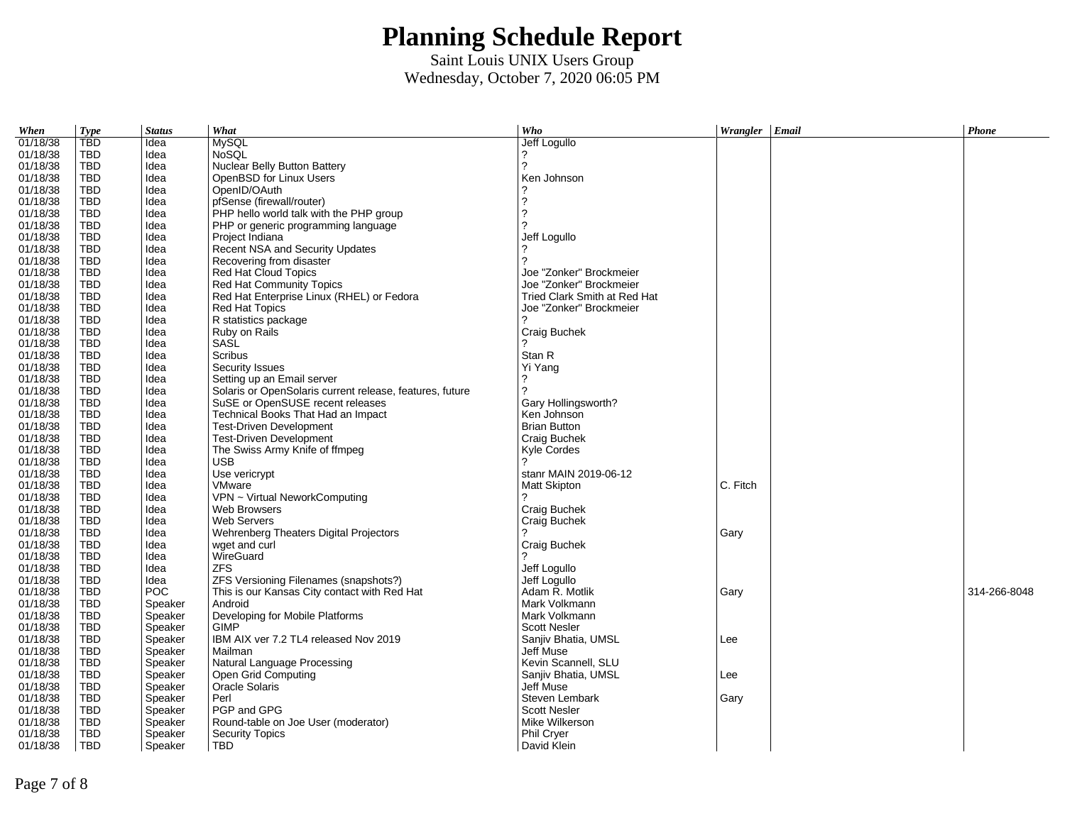| When     | <b>Type</b>              | <b>Status</b>      | What                                                     | Who                              | Wrangler Email | Phone        |
|----------|--------------------------|--------------------|----------------------------------------------------------|----------------------------------|----------------|--------------|
| 01/18/38 | <b>TBD</b>               | Idea               | <b>MySQL</b>                                             | Jeff Logullo                     |                |              |
| 01/18/38 | TBD                      | Idea               | <b>NoSQL</b>                                             | 2                                |                |              |
| 01/18/38 | <b>TBD</b>               | Idea               | Nuclear Belly Button Battery                             | 2                                |                |              |
| 01/18/38 | TBD                      | Idea               | OpenBSD for Linux Users                                  | Ken Johnson                      |                |              |
| 01/18/38 | <b>TBD</b>               | Idea               | OpenID/OAuth                                             | ?                                |                |              |
| 01/18/38 | TBD                      | Idea               | pfSense (firewall/router)                                | $\tilde{?}$                      |                |              |
| 01/18/38 | TBD                      | Idea               | PHP hello world talk with the PHP group                  | $\overline{\phantom{a}}$         |                |              |
| 01/18/38 | <b>TBD</b>               | Idea               | PHP or generic programming language                      | っ                                |                |              |
| 01/18/38 | TBD                      | Idea               | Project Indiana                                          | Jeff Logullo                     |                |              |
| 01/18/38 | TBD                      | Idea               | Recent NSA and Security Updates                          |                                  |                |              |
| 01/18/38 | TBD                      | Idea               | Recovering from disaster                                 | っ                                |                |              |
| 01/18/38 | TBD                      | Idea               | Red Hat Cloud Topics                                     | Joe "Zonker" Brockmeier          |                |              |
| 01/18/38 | <b>TBD</b>               | Idea               | Red Hat Community Topics                                 | Joe "Zonker" Brockmeier          |                |              |
| 01/18/38 | TBD                      | Idea               | Red Hat Enterprise Linux (RHEL) or Fedora                | Tried Clark Smith at Red Hat     |                |              |
| 01/18/38 | <b>TBD</b>               | Idea               | Red Hat Topics                                           | Joe "Zonker" Brockmeier          |                |              |
| 01/18/38 | TBD                      | Idea               | R statistics package                                     | 2                                |                |              |
| 01/18/38 | TBD                      | Idea               | Ruby on Rails                                            | Craig Buchek                     |                |              |
| 01/18/38 | TBD                      | Idea               | SASL                                                     | 2                                |                |              |
| 01/18/38 | TBD                      | Idea               | Scribus                                                  | Stan R                           |                |              |
| 01/18/38 | <b>TBD</b>               | Idea               | Security Issues                                          | Yi Yang                          |                |              |
| 01/18/38 | TBD                      | Idea               | Setting up an Email server                               | ?                                |                |              |
| 01/18/38 | TBD                      | Idea               | Solaris or OpenSolaris current release, features, future | 2                                |                |              |
| 01/18/38 | TBD                      | Idea               | SuSE or OpenSUSE recent releases                         | Gary Hollingsworth?              |                |              |
| 01/18/38 | TBD                      | Idea               | Technical Books That Had an Impact                       | Ken Johnson                      |                |              |
| 01/18/38 | <b>TBD</b>               | Idea               | <b>Test-Driven Development</b>                           | <b>Brian Button</b>              |                |              |
| 01/18/38 | TBD                      | Idea               | <b>Test-Driven Development</b>                           | Craig Buchek                     |                |              |
| 01/18/38 | TBD                      | Idea               | The Swiss Army Knife of ffmpeg                           | Kyle Cordes                      |                |              |
| 01/18/38 | TBD                      | Idea               | <b>USB</b>                                               | っ                                |                |              |
| 01/18/38 | <b>TBD</b>               | Idea               | Use vericrypt                                            | stanr MAIN 2019-06-12            |                |              |
| 01/18/38 | <b>TBD</b>               | Idea               | VMware                                                   | Matt Skipton                     | C. Fitch       |              |
| 01/18/38 | TBD                      | Idea               | VPN ~ Virtual NeworkComputing                            | 2                                |                |              |
| 01/18/38 | TBD                      | Idea               | Web Browsers                                             | Craig Buchek                     |                |              |
| 01/18/38 | TBD                      | Idea               | <b>Web Servers</b>                                       | Craig Buchek                     |                |              |
| 01/18/38 | <b>TBD</b>               | Idea               | Wehrenberg Theaters Digital Projectors                   | 2                                | Gary           |              |
| 01/18/38 | TBD                      | Idea               | wget and curl                                            | Craig Buchek                     |                |              |
| 01/18/38 | <b>TBD</b>               | Idea               | WireGuard                                                |                                  |                |              |
| 01/18/38 | TBD                      | Idea               | <b>ZFS</b>                                               | Jeff Logullo                     |                |              |
| 01/18/38 | TBD                      | Idea               | ZFS Versioning Filenames (snapshots?)                    | Jeff Logullo                     |                |              |
| 01/18/38 | <b>TBD</b>               | <b>POC</b>         | This is our Kansas City contact with Red Hat             | Adam R. Motlik                   | Gary           | 314-266-8048 |
| 01/18/38 | <b>TBD</b>               | Speaker            | Android                                                  | Mark Volkmann                    |                |              |
| 01/18/38 | <b>TBD</b>               | Speaker            | Developing for Mobile Platforms                          | Mark Volkmann                    |                |              |
| 01/18/38 | <b>TBD</b>               | Speaker            | <b>GIMP</b>                                              | <b>Scott Nesler</b>              |                |              |
| 01/18/38 | TBD                      | Speaker            | IBM AIX ver 7.2 TL4 released Nov 2019                    | Sanjiv Bhatia, UMSL              | Lee            |              |
| 01/18/38 | <b>TBD</b>               | Speaker            | Mailman                                                  | Jeff Muse                        |                |              |
|          |                          |                    |                                                          |                                  |                |              |
| 01/18/38 | TBD                      | Speaker            | Natural Language Processing                              | Kevin Scannell, SLU              |                |              |
| 01/18/38 | <b>TBD</b>               | Speaker            | Open Grid Computing                                      | Sanjiv Bhatia, UMSL<br>Jeff Muse | Lee            |              |
| 01/18/38 | <b>TBD</b>               | Speaker            | <b>Oracle Solaris</b>                                    |                                  |                |              |
| 01/18/38 | <b>TBD</b>               | Speaker            | Perl<br>PGP and GPG                                      | Steven Lembark                   | Gary           |              |
| 01/18/38 | <b>TBD</b><br><b>TBD</b> | Speaker            |                                                          | <b>Scott Nesler</b>              |                |              |
| 01/18/38 | <b>TBD</b>               | Speaker<br>Speaker | Round-table on Joe User (moderator)                      | Mike Wilkerson<br>Phil Cryer     |                |              |
| 01/18/38 | <b>TBD</b>               |                    | <b>Security Topics</b><br><b>TBD</b>                     | David Klein                      |                |              |
| 01/18/38 |                          | Speaker            |                                                          |                                  |                |              |